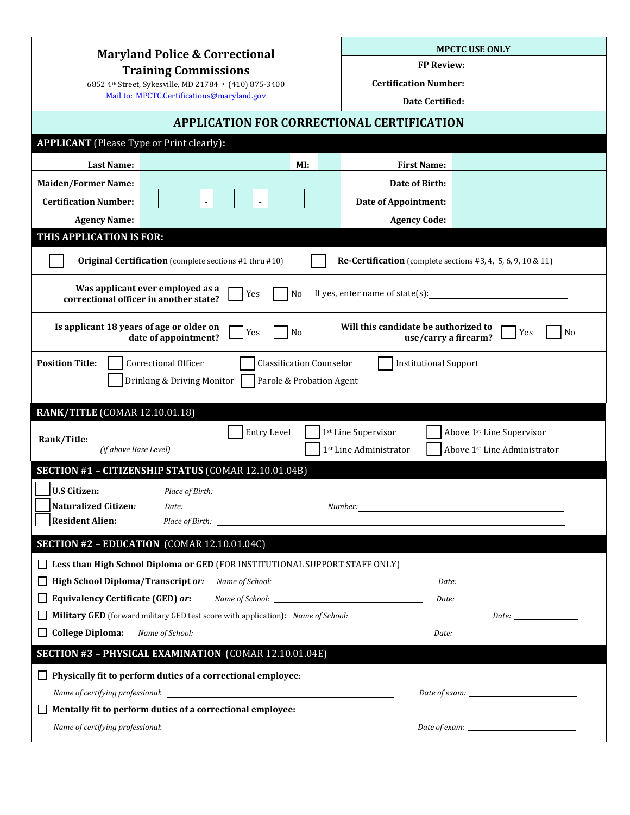| <b>Maryland Police &amp; Correctional</b>                                                                                                                                   |                                                                                                                                 |     |                                                                                                              | <b>MPCTC USE ONLY</b> |                                                                     |  |  |
|-----------------------------------------------------------------------------------------------------------------------------------------------------------------------------|---------------------------------------------------------------------------------------------------------------------------------|-----|--------------------------------------------------------------------------------------------------------------|-----------------------|---------------------------------------------------------------------|--|--|
| <b>Training Commissions</b><br>6852 4th Street, Sykesville, MD 21784 · (410) 875-3400<br>Mail to: MPCTC.Certifications@maryland.gov                                         |                                                                                                                                 |     | <b>FP Review:</b>                                                                                            |                       |                                                                     |  |  |
|                                                                                                                                                                             |                                                                                                                                 |     | <b>Certification Number:</b>                                                                                 |                       |                                                                     |  |  |
|                                                                                                                                                                             |                                                                                                                                 |     |                                                                                                              | Date Certified:       |                                                                     |  |  |
|                                                                                                                                                                             | <b>APPLICATION FOR CORRECTIONAL CERTIFICATION</b>                                                                               |     |                                                                                                              |                       |                                                                     |  |  |
| <b>APPLICANT</b> (Please Type or Print clearly):                                                                                                                            |                                                                                                                                 |     |                                                                                                              |                       |                                                                     |  |  |
| <b>Last Name:</b>                                                                                                                                                           |                                                                                                                                 | MI: |                                                                                                              | <b>First Name:</b>    |                                                                     |  |  |
| <b>Maiden/Former Name:</b>                                                                                                                                                  |                                                                                                                                 |     | Date of Birth:                                                                                               |                       |                                                                     |  |  |
| <b>Certification Number:</b>                                                                                                                                                |                                                                                                                                 |     | <b>Date of Appointment:</b>                                                                                  |                       |                                                                     |  |  |
| <b>Agency Name:</b>                                                                                                                                                         |                                                                                                                                 |     | <b>Agency Code:</b>                                                                                          |                       |                                                                     |  |  |
| THIS APPLICATION IS FOR:                                                                                                                                                    |                                                                                                                                 |     |                                                                                                              |                       |                                                                     |  |  |
|                                                                                                                                                                             | <b>Original Certification</b> (complete sections #1 thru #10)                                                                   |     |                                                                                                              |                       | <b>Re-Certification</b> (complete sections #3, 4, 5, 6, 9, 10 & 11) |  |  |
| Was applicant ever employed as a<br>If yes, enter name of state $(s)$ :<br>Yes<br>N <sub>0</sub><br>correctional officer in another state?                                  |                                                                                                                                 |     |                                                                                                              |                       |                                                                     |  |  |
| Is applicant 18 years of age or older on<br>Will this candidate be authorized to<br>No<br>No<br>Yes<br>Yes<br>date of appointment?<br>use/carry a firearm?                  |                                                                                                                                 |     |                                                                                                              |                       |                                                                     |  |  |
| <b>Position Title:</b><br>Correctional Officer<br><b>Classification Counselor</b><br><b>Institutional Support</b><br>Drinking & Driving Monitor<br>Parole & Probation Agent |                                                                                                                                 |     |                                                                                                              |                       |                                                                     |  |  |
| <b>RANK/TITLE (COMAR 12.10.01.18)</b>                                                                                                                                       |                                                                                                                                 |     |                                                                                                              |                       |                                                                     |  |  |
|                                                                                                                                                                             | Entry Level                                                                                                                     |     | 1st Line Supervisor                                                                                          |                       | Above 1st Line Supervisor                                           |  |  |
| Rank/Title:<br>(if above Base Level)                                                                                                                                        |                                                                                                                                 |     | 1st Line Administrator                                                                                       |                       | Above 1st Line Administrator                                        |  |  |
|                                                                                                                                                                             | SECTION #1 - CITIZENSHIP STATUS (COMAR 12.10.01.04B)                                                                            |     |                                                                                                              |                       |                                                                     |  |  |
| <b>U.S Citizen:</b>                                                                                                                                                         |                                                                                                                                 |     |                                                                                                              |                       |                                                                     |  |  |
| Naturalized Citizen:                                                                                                                                                        | Place of Birth:<br>$\hspace{.2cm} Date: \begin{tabular}{l} \textbf{\textit{Date}}: \\ \textbf{\textit{Date}}: \\ \end{tabular}$ |     |                                                                                                              |                       |                                                                     |  |  |
| <b>Resident Alien:</b>                                                                                                                                                      |                                                                                                                                 |     |                                                                                                              |                       |                                                                     |  |  |
|                                                                                                                                                                             | SECTION #2 - EDUCATION (COMAR 12.10.01.04C)                                                                                     |     |                                                                                                              |                       |                                                                     |  |  |
|                                                                                                                                                                             |                                                                                                                                 |     |                                                                                                              |                       |                                                                     |  |  |
|                                                                                                                                                                             | Less than High School Diploma or GED (FOR INSTITUTIONAL SUPPORT STAFF ONLY)                                                     |     |                                                                                                              |                       |                                                                     |  |  |
| High School Diploma/Transcript or: Name of School: _____________________________<br><b>Equivalency Certificate (GED) or:</b> Name of School: ______________________________ |                                                                                                                                 |     |                                                                                                              |                       |                                                                     |  |  |
|                                                                                                                                                                             |                                                                                                                                 |     | $\hspace{.2cm} Date: \begin{tabular}{l} \textbf{\textit{Date}}: \\ \textbf{\textit{Date}}: \\ \end{tabular}$ |                       |                                                                     |  |  |
| <b>College Diploma:</b>                                                                                                                                                     |                                                                                                                                 |     | Military GED (forward military GED test score with application): Name of School: Date: Date: Date:           |                       |                                                                     |  |  |
|                                                                                                                                                                             |                                                                                                                                 |     |                                                                                                              |                       | $\hspace{.2cm} Date: \_$                                            |  |  |
|                                                                                                                                                                             | SECTION #3 - PHYSICAL EXAMINATION (COMAR 12.10.01.04E)                                                                          |     |                                                                                                              |                       |                                                                     |  |  |
|                                                                                                                                                                             | Physically fit to perform duties of a correctional employee:                                                                    |     |                                                                                                              |                       |                                                                     |  |  |
|                                                                                                                                                                             |                                                                                                                                 |     |                                                                                                              |                       |                                                                     |  |  |
|                                                                                                                                                                             | Mentally fit to perform duties of a correctional employee:                                                                      |     |                                                                                                              |                       |                                                                     |  |  |
|                                                                                                                                                                             |                                                                                                                                 |     |                                                                                                              |                       |                                                                     |  |  |